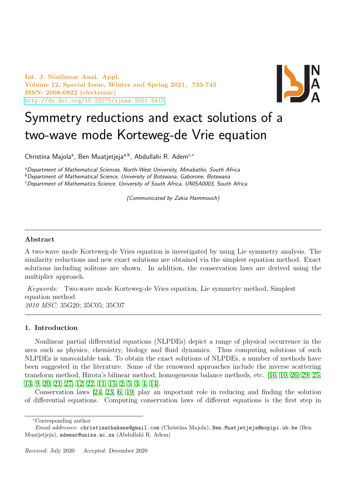Int. J. Nonlinear Anal. Appl. Volume 12, Special Issue, Winter and Spring 2021, 733-743 ISSN: 2008-6822 (electronic) <http://dx.doi.org/10.22075/ijnaa.2021.5415>



# Symmetry reductions and exact solutions of a two-wave mode Korteweg-de Vrie equation

Christina Majola<sup>a</sup>, Ben Muatjetjeja<sup>a,b</sup>, Abdullahi R. Adem<sup>c,</sup>\*

<sup>a</sup>Department of Mathematical Sciences, North-West University, Mmabatho, South Africa

<sup>b</sup>Department of Mathematical Science, University of Botswana, Gaborone, Botswana

<sup>c</sup>Department of Mathematics Science, University of South Africa, UNISA0003, South Africa

(Communicated by Zakia Hammouch)

# Abstract

A two-wave mode Korteweg-de Vries equation is investigated by using Lie symmetry analysis. The similarity reductions and new exact solutions are obtained via the simplest equation method. Exact solutions including solitons are shown. In addition, the conservation laws are derived using the multiplier approach.

Keywords: Two-wave mode Korteweg-de Vries equation, Lie symmetry method, Simplest equation method 2010 MSC: 35G20; 35C05; 35C07

### 1. Introduction

Nonlinear partial differential equations (NLPDEs) depict a range of physical occurrence in the area such as physics, chemistry, biology and fluid dynamics. Thus computing solutions of such NLPDEs is unavoidable task. To obtain the exact solutions of NLPDEs, a number of methods have been suggested in the literature. Some of the renowned approaches include the inverse scattering transform method, Hirota's bilinear method, homogeneous balance methods, etc. [\[16,](#page-10-0) [10,](#page-9-0) [26,](#page-10-1) [29,](#page-10-2) [25,](#page-10-3) [13,](#page-10-4) [9,](#page-9-1) [20,](#page-10-5) [21,](#page-10-6) [27,](#page-10-7) [12,](#page-10-8) [22,](#page-10-9) [11,](#page-9-2) [15,](#page-10-10) [2,](#page-9-3) [5,](#page-9-4) [3,](#page-9-5) [4,](#page-9-6) [14\]](#page-10-11).

Conservation laws [\[24,](#page-10-12) [23,](#page-10-13) [6,](#page-9-7) [19\]](#page-10-14) play an important role in reducing and finding the solution of differential equations. Computing conservation laws of different equations is the first step in

<sup>∗</sup>Corresponding author

Email addresses: christinathakane@gmail.com (Christina Majola), Ben.Muatjetjeja@mopipi.ub.bw (Ben Muatjetjeja), ademar@unisa.ac.za (Abdullahi R. Adem)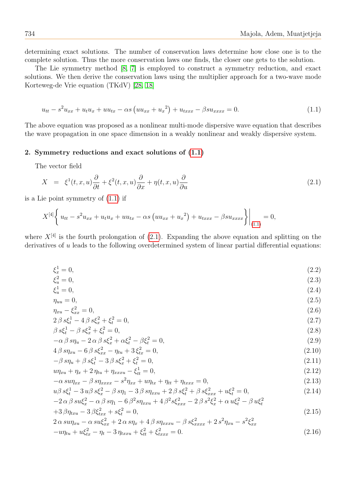determining exact solutions. The number of conservation laws determine how close one is to the complete solution. Thus the more conservation laws one finds, the closer one gets to the solution.

The Lie symmetry method [\[8,](#page-9-8) [7\]](#page-9-9) is employed to construct a symmetry reduction, and exact solutions. We then derive the conservation laws using the multiplier approach for a two-wave mode Korteweg-de Vrie equation (TKdV) [\[28,](#page-10-15) [18\]](#page-10-16)

<span id="page-1-0"></span>
$$
u_{tt} - s^2 u_{xx} + u_t u_x + u u_{tx} - \alpha s \left( u u_{xx} + u_x^2 \right) + u_{txxx} - \beta s u_{xxxx} = 0. \tag{1.1}
$$

The above equation was proposed as a nonlinear multi-mode dispersive wave equation that describes the wave propagation in one space dimension in a weakly nonlinear and weakly dispersive system.

#### 2. Symmetry reductions and exact solutions of [\(1.1\)](#page-1-0)

The vector field

<span id="page-1-1"></span>
$$
X = \xi^{1}(t, x, u)\frac{\partial}{\partial t} + \xi^{2}(t, x, u)\frac{\partial}{\partial x} + \eta(t, x, u)\frac{\partial}{\partial u}
$$
\n(2.1)

is a Lie point symmetry of [\(1.1\)](#page-1-0) if

$$
X^{[4]}\left\{u_{tt} - s^2 u_{xx} + u_t u_x + u u_{tx} - \alpha s (u u_{xx} + u_x^2) + u_{txxx} - \beta s u_{xxxx} \right\}\Big|_{(1,1)} = 0,
$$

where  $X^{[4]}$  is the fourth prolongation of [\(2.1\)](#page-1-1). Expanding the above equation and splitting on the derivatives of u leads to the following overdetermined system of linear partial differential equations:

$$
\xi_x^1 = 0,\tag{2.2}
$$

$$
\xi_u^2 = 0,\tag{2.3}
$$
\n
$$
\xi_u^1 = 0,\tag{2.4}
$$

$$
\eta_{uu} = 0,\tag{2.5}
$$

$$
\eta_{xu} - \xi_{xx}^2 = 0,
$$
\n
$$
2\beta s \xi_t^1 - 4\beta s \xi_x^2 + \xi_t^2 = 0,
$$
\n(2.6)\n(2.7)

$$
\beta s \xi_t^1 - \beta s \xi_x^2 + \xi_t^2 = 0,\tag{2.8}
$$

$$
-\alpha \beta s \eta_u - 2 \alpha \beta s \xi_x^2 + \alpha \xi_t^2 - \beta \xi_t^2 = 0,
$$
\n(2.9)

$$
4\beta s\eta_{xu} - 6\beta s\xi_{xx}^2 - \eta_{tu} + 3\xi_{tx}^2 = 0,
$$
\n(2.10)

$$
-\beta s\eta_u + \beta s\xi_t^1 - 3\beta s\xi_x^2 + \xi_t^2 = 0,
$$
\n(2.11)

$$
u\eta_{xu} + \eta_x + 2\eta_{tu} + \eta_{xxxx} - \xi_{tt}^1 = 0,\tag{2.12}
$$

$$
-\alpha \, \text{sup}_{xx} - \beta \, \text{sup}_{xxx} - s^2 \eta_{xx} + u\eta_{tx} + \eta_{tt} + \eta_{txxx} = 0,\tag{2.13}
$$

$$
u\beta s\xi_t^1 - 3 u\beta s\xi_x^2 - \beta s\eta_1 - 3 \beta s\eta_{xxu} + 2 \beta s\xi_t^2 + \beta s\xi_{xxx}^2 + u\xi_t^2 = 0,
$$
  
-2\alpha\beta s u\xi\_x^2 - \alpha\beta s\eta\_1 - 6\beta^2 s\eta\_{xxu} + 4\beta^2 s\xi\_{xxx}^2 - 2\beta s^2\xi\_x^2 + \alpha u\xi\_t^2 - \beta u\xi\_t^2 (2.14)

$$
-2 \alpha \beta s u_{\zeta_x} - \alpha \beta s \eta_1 - 6 \beta s \eta_{xxy} + 4 \beta s_{\zeta_{xxx}} - 2 \beta s_{\zeta_x} + \alpha u_{\zeta_t} - \beta u_{\zeta_t}
$$
  
+3  $\beta \eta_{xxy} - 3 \beta \xi_{xx}^2 + s \xi_t^2 = 0,$  (2.15)

$$
2 \alpha \, \text{sup}_{xu} - \alpha \, \text{sup}_{x}^{2} + 2 \alpha \, \text{sup}_{x} + 4 \, \beta \, \text{sup}_{xxu} - \beta \, \text{sup}_{xxu}^{2} + 2 \, \text{sup}_{xu} - s^{2} \xi_{xx}^{2}
$$
\n
$$
-u\eta_{tu} + u\xi_{tx}^{2} - \eta_{t} - 3\eta_{txxu} + \xi_{tt}^{2} + \xi_{txx}^{2} = 0. \tag{2.16}
$$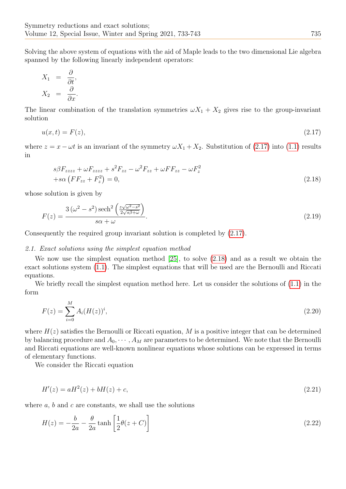Solving the above system of equations with the aid of Maple leads to the two dimensional Lie algebra spanned by the following linearly independent operators:

$$
X_1 = \frac{\partial}{\partial t},
$$
  

$$
X_2 = \frac{\partial}{\partial x}.
$$

The linear combination of the translation symmetries  $\omega X_1 + X_2$  gives rise to the group-invariant solution

<span id="page-2-0"></span>
$$
u(x,t) = F(z),\tag{2.17}
$$

where  $z = x - \omega t$  is an invariant of the symmetry  $\omega X_1 + X_2$ . Substitution of [\(2.17\)](#page-2-0) into [\(1.1\)](#page-1-0) results in

<span id="page-2-1"></span>
$$
s\beta F_{zzzz} + \omega F_{zzzz} + s^2 F_{zz} - \omega^2 F_{zz} + \omega F F_{zz} - \omega F_z^2
$$
  
+ $s\alpha (F F_{zz} + F_z^2) = 0,$  (2.18)

whose solution is given by

$$
F(z) = \frac{3(\omega^2 - s^2)\operatorname{sech}^2\left(\frac{z\sqrt{\omega^2 - s^2}}{2\sqrt{s\beta + \omega}}\right)}{s\alpha + \omega}.
$$
\n(2.19)

Consequently the required group invariant solution is completed by [\(2.17\)](#page-2-0).

#### 2.1. Exact solutions using the simplest equation method

We now use the simplest equation method [\[25\]](#page-10-3), to solve [\(2.18\)](#page-2-1) and as a result we obtain the exact solutions system [\(1.1\)](#page-1-0). The simplest equations that will be used are the Bernoulli and Riccati equations.

We briefly recall the simplest equation method here. Let us consider the solutions of  $(1.1)$  in the form

$$
F(z) = \sum_{i=0}^{M} A_i (H(z))^i,
$$
\n(2.20)

where  $H(z)$  satisfies the Bernoulli or Riccati equation, M is a positive integer that can be determined by balancing procedure and  $A_0, \dots, A_M$  are parameters to be determined. We note that the Bernoulli and Riccati equations are well-known nonlinear equations whose solutions can be expressed in terms of elementary functions.

We consider the Riccati equation

<span id="page-2-2"></span>
$$
H'(z) = aH^2(z) + bH(z) + c,\tag{2.21}
$$

where  $a, b$  and  $c$  are constants, we shall use the solutions

$$
H(z) = -\frac{b}{2a} - \frac{\theta}{2a} \tanh\left[\frac{1}{2}\theta(z+C)\right]
$$
\n(2.22)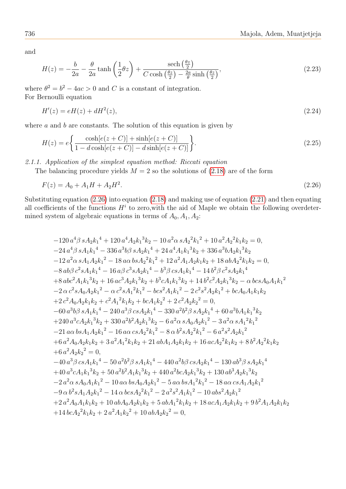and

$$
H(z) = -\frac{b}{2a} - \frac{\theta}{2a} \tanh\left(\frac{1}{2}\theta z\right) + \frac{\text{sech}\left(\frac{\theta z}{2}\right)}{C\cosh\left(\frac{\theta z}{2}\right) - \frac{2a}{\theta}\sinh\left(\frac{\theta z}{2}\right)},\tag{2.23}
$$

where  $\theta^2 = b^2 - 4ac > 0$  and C is a constant of integration. For Bernoulli equation

<span id="page-3-1"></span>
$$
H'(z) = eH(z) + dH^2(z),\tag{2.24}
$$

where  $a$  and  $b$  are constants. The solution of this equation is given by

$$
H(z) = e \left\{ \frac{\cosh[e(z+C)] + \sinh[e(z+C)]}{1 - d\cosh[e(z+C)] - d\sinh[e(z+C)]} \right\}.
$$
\n(2.25)

2.1.1. Application of the simplest equation method: Riccati equation

The balancing procedure yields  $M = 2$  so the solutions of [\(2.18\)](#page-2-1) are of the form

<span id="page-3-0"></span>
$$
F(z) = A_0 + A_1 H + A_2 H^2. \tag{2.26}
$$

Substituting equation [\(2.26\)](#page-3-0) into equation [\(2.18\)](#page-2-1) and making use of equation [\(2.21\)](#page-2-2) and then equating all coefficients of the functions  $H^i$  to zero, with the aid of Maple we obtain the following overdetermined system of algebraic equations in terms of  $A_0$ ,  $A_1$ ,  $A_2$ :

$$
-120 a^4 \beta s A_2 k_1^4 + 120 a^4 A_2 k_1^3 k_2 - 10 a^2 \alpha s A_2^2 k_1^2 + 10 a^2 A_2^2 k_1 k_2 = 0,
$$
  
\n
$$
-24 a^4 \beta s A_1 k_1^4 - 336 a^3 b \beta s A_2 k_1^4 + 24 a^4 A_1 k_1^3 k_2 + 336 a^3 b A_2 k_1^3 k_2
$$
  
\n
$$
-12 a^2 \alpha s A_1 A_2 k_1^2 - 18 \alpha \alpha b s A_2^2 k_1^2 + 12 a^2 A_1 A_2 k_1 k_2 + 18 a b A_2^2 k_1 k_2 = 0,
$$
  
\n
$$
-8 a b \beta c^2 s A_1 k_1^4 - 16 a \beta c^3 s A_2 k_1^4 - b^3 \beta c s A_1 k_1^4 - 14 b^2 \beta c^2 s A_2 k_1^4
$$
  
\n
$$
+8 a b c^2 A_1 k_1^3 k_2 + 16 a c^3 A_2 k_1^3 k_2 + b^3 c A_1 k_1^3 k_2 + 14 b^2 c^2 A_2 k_1^3 k_2 - \alpha b c s A_0 A_1 k_1^2
$$
  
\n
$$
-2 \alpha c^2 s A_0 A_2 k_1^2 - \alpha c^2 s A_1^2 k_1^2 - b c s^2 A_1 k_1^2 - 2 c^2 s^2 A_2 k_1^2 + b c A_0 A_1 k_1 k_2
$$
  
\n
$$
+2 c^2 A_0 A_2 k_1 k_2 + c^2 A_1^2 k_1 k_2 + b c A_1 k_2^2 + 2 c^2 A_2 k_2^2 = 0,
$$
  
\n
$$
-60 a^3 b \beta s A_1 k_1^4 - 240 a^3 \beta c s A_2 k_1^4 - 330 a^2 b^2 \beta s A_2 k_1^4 + 60 a^3 b A_1 k_1^3 k_2
$$
  
\n
$$
+240 a^3 c A_2 k_1^3 k_2 + 330 a^2 b^2 A_2 k_1^3 - 8 \alpha b^
$$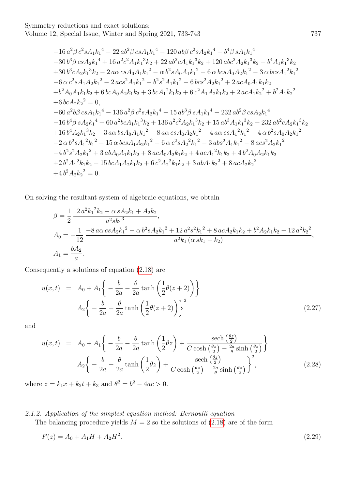$$
-16 a2 \beta c2 s A1 k14 - 22 a b2 \beta c s A1 k14 - 120 a b \beta c2 s A2 k14 - b4 \beta s A1 k14\n
$$
-30 b3 \beta c s A2 k14 + 16 a2 c2 A1 k13 k2 + 22 a b2 c A1 k13 k2 + 120 a b c2 A2 k13 k2 + b4 A1 k13 k2\n+30 b3 c A2 k13 k2 - 2 a c s A0 A1 k12 - 6 b c s A0 A2 k12 - 3 a b c s A12 k12\n
$$
-6 \alpha c2 s A1 A2 k12 - 2 a c s2 A1 k12 - b2 s2 A1 k12 - 6 b c s2 A2 k12 + 2 a c A0 A1 k1 k2\n+ b2 A0 A1
$$
$$
$$

On solving the resultant system of algebraic equations, we obtain

$$
\beta = \frac{1}{2} \frac{12 a^2 k_1^2 k_2 - \alpha s A_2 k_1 + A_2 k_2}{a^2 s k_1^3},
$$
  
\n
$$
A_0 = -\frac{1}{12} \frac{-8 a \alpha c s A_2 k_1^2 - \alpha b^2 s A_2 k_1^2 + 12 a^2 s^2 k_1^2 + 8 a c A_2 k_1 k_2 + b^2 A_2 k_1 k_2 - 12 a^2 k_2^2}{a^2 k_1 (\alpha s k_1 - k_2)},
$$
  
\n
$$
A_1 = \frac{b A_2}{a}.
$$

Consequently a solutions of equation [\(2.18\)](#page-2-1) are

<span id="page-4-0"></span>
$$
u(x,t) = A_0 + A_1 \left\{ -\frac{b}{2a} - \frac{\theta}{2a} \tanh\left(\frac{1}{2}\theta(z+2)\right) \right\}
$$

$$
A_2 \left\{ -\frac{b}{2a} - \frac{\theta}{2a} \tanh\left(\frac{1}{2}\theta(z+2)\right) \right\}^2
$$
(2.27)

and

<span id="page-4-1"></span>
$$
u(x,t) = A_0 + A_1 \left\{ -\frac{b}{2a} - \frac{\theta}{2a} \tanh\left(\frac{1}{2}\theta z\right) + \frac{\operatorname{sech}\left(\frac{\theta z}{2}\right)}{C \cosh\left(\frac{\theta z}{2}\right) - \frac{2a}{\theta} \sinh\left(\frac{\theta z}{2}\right)} \right\}
$$

$$
A_2 \left\{ -\frac{b}{2a} - \frac{\theta}{2a} \tanh\left(\frac{1}{2}\theta z\right) + \frac{\operatorname{sech}\left(\frac{\theta z}{2}\right)}{C \cosh\left(\frac{\theta z}{2}\right) - \frac{2a}{\theta} \sinh\left(\frac{\theta z}{2}\right)} \right\}^2, \tag{2.28}
$$

where  $z = k_1 x + k_2 t + k_3$  and  $\theta^2 = b^2 - 4ac > 0$ .

# 2.1.2. Application of the simplest equation method: Bernoulli equation

The balancing procedure yields  $M = 2$  so the solutions of  $(2.18)$  are of the form

<span id="page-4-2"></span>
$$
F(z) = A_0 + A_1 H + A_2 H^2. \tag{2.29}
$$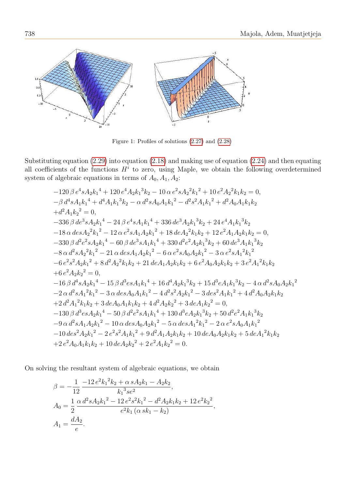

Figure 1: Profiles of solutions  $(2.27)$  and  $(2.28)$ 

Substituting equation  $(2.29)$  into equation  $(2.18)$  and making use of equation  $(2.24)$  and then equating all coefficients of the functions  $H^i$  to zero, using Maple, we obtain the following overdetermined system of algebraic equations in terms of  $A_0, A_1, A_2$ :

$$
-120 \beta e^{4} 8A_{2}k_{1}^{4} + 120 e^{4} A_{2}k_{1}^{3}k_{2} - 10 \alpha e^{2} 8A_{2}^{2}k_{1}^{2} + 10 e^{2} A_{2}^{2}k_{1}k_{2} = 0,
$$
  
\n
$$
- \beta d^{4} 8A_{1}k_{1}^{4} + d^{4} A_{1}k_{1}^{3}k_{2} - \alpha d^{2} 8A_{0} A_{1}k_{1}^{2} - d^{2} 8^{2} A_{1}k_{1}^{2} + d^{2} A_{0} A_{1}k_{1}k_{2}
$$
  
\n
$$
+ d^{2} A_{1}k_{2}^{2} = 0,
$$
  
\n
$$
-336 \beta d e^{3} 8A_{2}k_{1}^{4} - 24 \beta e^{4} 8A_{1}k_{1}^{4} + 336 d e^{3} A_{2}k_{1}^{3}k_{2} + 24 e^{4} A_{1}k_{1}^{3}k_{2}
$$
  
\n
$$
-18 \alpha d e s A_{2}^{2}k_{1}^{2} - 12 \alpha e^{2} 8A_{1} A_{2}k_{1}^{2} + 18 d e A_{2}^{2}k_{1}k_{2} + 12 e^{2} A_{1} A_{2}k_{1}k_{2} = 0,
$$
  
\n
$$
-330 \beta d^{2} e^{2} 8A_{2}k_{1}^{4} - 60 \beta d e^{3} 8A_{1}k_{1}^{4} + 330 d^{2} e^{2} A_{2}k_{1}^{3}k_{2} + 60 d e^{3} A_{1}k_{1}^{3}k_{2}
$$
  
\n
$$
-8 \alpha d^{2} 8 A_{2}^{2}k_{1}^{2} - 21 \alpha d e s A_{1} A_{2}k_{1}^{2} - 6 \alpha e^{2} s A_{0} A_{2}k_{1}^{2} - 3 \alpha e^{2} s A_{1}^{2}k_{1}^{2}
$$
  
\n
$$
-6 e^{2} s^{2} A_{2}k_{1}^{2} + 8 d^{2} A_{2}^{2}k_{1}k_{2} + 21 d e A_{1} A_{2}k_{1}k_{
$$

On solving the resultant system of algebraic equations, we obtain

$$
\beta = -\frac{1}{12} \frac{-12 e^2 k_1^2 k_2 + \alpha s A_2 k_1 - A_2 k_2}{k_1^3 s e^2},
$$
  
\n
$$
A_0 = \frac{1}{2} \frac{\alpha d^2 s A_2 k_1^2 - 12 e^2 s^2 k_1^2 - d^2 A_2 k_1 k_2 + 12 e^2 k_2^2}{e^2 k_1 (\alpha s k_1 - k_2)}
$$
  
\n
$$
A_1 = \frac{dA_2}{e}.
$$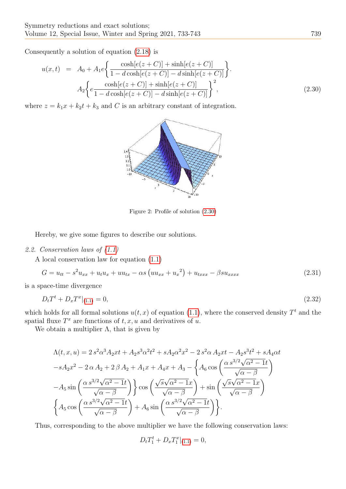Consequently a solution of equation [\(2.18\)](#page-2-1) is

<span id="page-6-0"></span>
$$
u(x,t) = A_0 + A_1 e \left\{ \frac{\cosh[e(z+C)] + \sinh[e(z+C)]}{1 - d \cosh[e(z+C)] - d \sinh[e(z+C)]} \right\}.
$$
  

$$
A_2 \left\{ e \frac{\cosh[e(z+C)] + \sinh[e(z+C)]}{1 - d \cosh[e(z+C)] - d \sinh[e(z+C)]} \right\}^2,
$$
(2.30)

where  $z = k_1x + k_2t + k_3$  and C is an arbitrary constant of integration.



Figure 2: Profile of solution [\(2.30\)](#page-6-0)

Hereby, we give some figures to describe our solutions.

# 2.2. Conservation laws of [\(1.1\)](#page-1-0)

A local conservation law for equation [\(1.1\)](#page-1-0)

$$
G = u_{tt} - s^2 u_{xx} + u_t u_x + u u_{tx} - \alpha s (u u_{xx} + u_x^2) + u_{txxx} - \beta s u_{xxxx}
$$
\n(2.31)

is a space-time divergence

$$
D_t T^t + D_x T^x |_{(1,1)} = 0,\t\t(2.32)
$$

which holds for all formal solutions  $u(t, x)$  of equation [\(1.1\)](#page-1-0), where the conserved density  $T<sup>t</sup>$  and the spatial fluxe  $T^x$  are functions of  $t, x, u$  and derivatives of u.

We obtain a multiplier  $\Lambda$ , that is given by

$$
\Lambda(t, x, u) = 2 s^2 \alpha^3 A_2 x t + A_2 s^3 \alpha^2 t^2 + s A_2 \alpha^2 x^2 - 2 s^2 \alpha A_2 x t - A_2 s^3 t^2 + s A_4 \alpha t
$$
  

$$
-s A_2 x^2 - 2 \alpha A_2 + 2 \beta A_2 + A_1 x + A_4 x + A_3 - \left\{ A_6 \cos \left( \frac{\alpha s^{3/2} \sqrt{\alpha^2 - 1} t}{\sqrt{\alpha - \beta}} \right) - A_5 \sin \left( \frac{\alpha s^{3/2} \sqrt{\alpha^2 - 1} t}{\sqrt{\alpha - \beta}} \right) \right\} \cos \left( \frac{\sqrt{s} \sqrt{\alpha^2 - 1} x}{\sqrt{\alpha - \beta}} \right) + \sin \left( \frac{\sqrt{s} \sqrt{\alpha^2 - 1} x}{\sqrt{\alpha - \beta}} \right)
$$
  

$$
\left\{ A_5 \cos \left( \frac{\alpha s^{3/2} \sqrt{\alpha^2 - 1} t}{\sqrt{\alpha - \beta}} \right) + A_6 \sin \left( \frac{\alpha s^{3/2} \sqrt{\alpha^2 - 1} t}{\sqrt{\alpha - \beta}} \right) \right\}.
$$

Thus, corresponding to the above multiplier we have the following conservation laws:

$$
D_t T_1^t + D_x T_1^x |_{(1.1)} = 0,
$$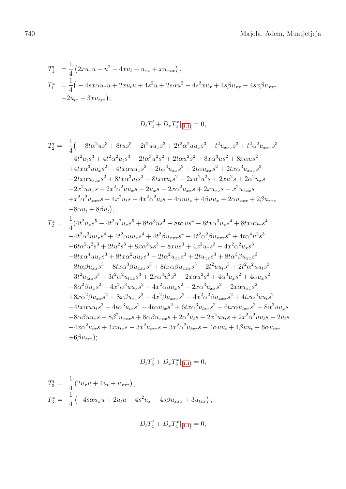$$
T_1^t = \frac{1}{4} \left( 2xu_x u - u^2 + 4xu_t - u_{xx} + xu_{xxx} \right),
$$
  
\n
$$
T_1^x = \frac{1}{4} \left( -4s x \alpha u_x u + 2x u_t u + 4s^2 u + 2s \alpha u^2 - 4s^2 x u_x + 4s \beta u_{xx} - 4s x \beta u_{xxx} \right)
$$
  
\n
$$
-2u_{tx} + 3x u_{txx});
$$

$$
D_t T_2^t + D_x T_2^x |_{(1.1)} = 0,
$$

$$
T_{2}^{t} = \frac{1}{4} \left( -8t\alpha^{2}u s^{3} + 8t u s^{3} - 2t^{2}u u_{x}s^{3} + 2t^{2}\alpha^{2}u u_{x}s^{3} - t^{2}u_{xxx}s^{3} + t^{2}\alpha^{2}u_{xxx}s^{3} \right. \n-4t^{2}u_{t}s^{3} + 4t^{2}\alpha^{2}u_{t}s^{3} - 2t\alpha^{3}u^{2}s^{2} + 2t\alpha u^{2}s^{2} - 8x\alpha^{3}u s^{2} + 8x\alpha u s^{2} \n+4tx\alpha^{3}u u_{x}s^{2} - 4tx\alpha u u_{x}s^{2} - 2t\alpha^{3}u_{xx}s^{2} + 2t\alpha u_{xx}s^{2} + 2tx\alpha^{3}u_{xxx}s^{2} \n-2tx\alpha u_{xxx}s^{2} + 8tx\alpha^{3}u_{t}s^{2} - 8tx\alpha u_{t}s^{2} - 2x\alpha^{2}u^{2}s + 2xu^{2}s + 2\alpha^{2}u_{x}s \n-2x^{2}u u_{x}s + 2x^{2}\alpha^{2}u u_{x}s - 2u_{x}s - 2x\alpha^{2}u_{xx}s + 2xu_{xx}s - x^{2}u_{xxx}s \n+ x^{2}\alpha^{2}u_{xxx}s - 4x^{2}u_{t}s + 4x^{2}\alpha^{2}u_{t}s - 4\alpha u u_{x} + 4\beta u u_{x} - 2\alpha u_{xxx} + 2\beta u_{xxx} \n-8\alpha u_{t} + 8\beta u_{t}),
$$

$$
T_2^x = \frac{1}{4}(4t^2u_x s^5 - 4t^2\alpha^2u_x s^5 + 8t\alpha^3us^4 - 8t\alpha us^4 - 8t\alpha\alpha^3u_x s^4 + 8t\alpha u_x s^4
$$
  
\n
$$
-4t^2\alpha^3uu_x s^4 + 4t^2\alpha u u_x s^4 + 4t^2\beta u_{xxx} s^4 - 4t^2\alpha^2\beta u_{xxx} s^4 + 4t\alpha^4 u^2 s^3
$$
  
\n
$$
-6t\alpha^2u^2s^3 + 2tu^2s^3 + 8x\alpha^2us^3 - 8xus^3 + 4x^2u_x s^3 - 4x^2\alpha^2u_x s^3
$$
  
\n
$$
-8t\alpha\alpha^4uu_x s^3 + 8t\alpha\alpha^2uu_x s^3 - 2t\alpha^2u_{xx} s^3 + 2t u_{xx} s^3 + 8t\alpha^3\beta u_{xx} s^3
$$
  
\n
$$
-8t\alpha\beta u_{xx} s^3 - 8t\alpha\alpha^3\beta u_{xxx} s^3 + 8t\alpha\alpha\beta u_{xxx} s^3 - 2t^2u u_t s^3 + 2t^2\alpha^2uu_t s^3
$$
  
\n
$$
-3t^2u_{txx} s^3 + 3t^2\alpha^2u_{txx} s^3 + 2x\alpha^3u^2 s^2 - 2x\alpha u^2 s^2 + 4\alpha^3u_x s^2 + 4\alpha u_x s^2
$$
  
\n
$$
-8\alpha^2\beta u_x s^2 - 4x^2\alpha^3uu_x s^2 + 4x^2\alpha u u_x s^2 - 2x\alpha^3u_{xx} s^2 + 2x\alpha u_{xx} s^2
$$
  
\n
$$
+8x\alpha^2\beta u_{xx} s^2 - 8x\beta u_{xx} s^2 + 4x^2\beta u_{xxx} s^2 - 4x^2\alpha^2\beta u_{xxx} s^2 + 4t\alpha\alpha^3uu_t s^2
$$
  
\n
$$
-4t\alpha\alpha u_t s^2 - 4t\alpha^3u_{tx} s^2 + 4t\alpha u_{tx} s^2 + 6t\alpha\alpha^3 u_{txx} s^2 - 6t
$$

$$
D_t T_3^t + D_x T_3^x |_{(1.1)} = 0,
$$

$$
T_3^t = \frac{1}{4} (2u_x u + 4u_t + u_{xxx}),
$$
  
\n
$$
T_3^x = \frac{1}{4} (-4s\alpha u_x u + 2u_t u - 4s^2 u_x - 4s\beta u_{xxx} + 3u_{txx});
$$

$$
D_t T_4^t + D_x T_4^x |_{(1.1)} = 0,
$$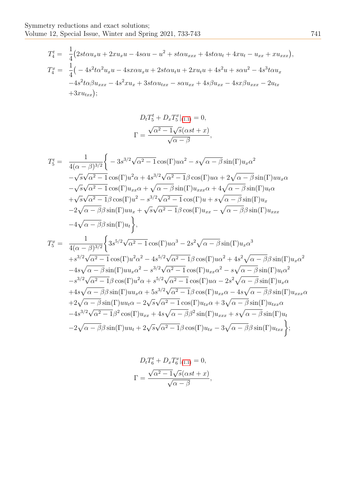$$
T_4^t = \frac{1}{4} \left( 2st\alpha u_x u + 2x u_x u - 4s\alpha u - u^2 + st\alpha u_{xxx} + 4st\alpha u_t + 4x u_t - u_{xx} + x u_{xxx} \right),
$$
  
\n
$$
T_4^x = \frac{1}{4} \left( -4s^2 t\alpha^2 u_x u - 4s x\alpha u_x u + 2st\alpha u_t u + 2x u_t u + 4s^2 u + s\alpha u^2 - 4s^3 t\alpha u_x \right.
$$
  
\n
$$
-4s^2 t\alpha \beta u_{xxx} - 4s^2 x u_x + 3st\alpha u_{xxx} - s\alpha u_{xx} + 4s\beta u_{xx} - 4s x\beta u_{xxx} - 2u_{tx} + 3x u_{txx});
$$

$$
D_t T_5^t + D_x T_5^x |_{(1.1)} = 0,
$$
  

$$
\Gamma = \frac{\sqrt{\alpha^2 - 1}\sqrt{s}(\alpha st + x)}{\sqrt{\alpha - \beta}},
$$

$$
T_5^t = \frac{1}{4(\alpha - \beta)^{3/2}} \Biggl\{ -3s^{3/2}\sqrt{\alpha^2 - 1} \cos(\Gamma)u\alpha^2 - s\sqrt{\alpha - \beta} \sin(\Gamma)u_x\alpha^2 -\sqrt{s}\sqrt{\alpha^2 - 1} \cos(\Gamma)u^2\alpha + 4s^{3/2}\sqrt{\alpha^2 - 1}\beta \cos(\Gamma)u\alpha + 2\sqrt{\alpha - \beta} \sin(\Gamma)uu_x\alpha -\sqrt{s}\sqrt{\alpha^2 - 1} \cos(\Gamma)u_{xx}\alpha + \sqrt{\alpha - \beta} \sin(\Gamma)u_{xxx}\alpha + 4\sqrt{\alpha - \beta} \sin(\Gamma)u_t\alpha + \sqrt{s}\sqrt{\alpha^2 - 1}\beta \cos(\Gamma)u^2 - s^{3/2}\sqrt{\alpha^2 - 1} \cos(\Gamma)u + s\sqrt{\alpha - \beta} \sin(\Gamma)u_x -2\sqrt{\alpha - \beta}\beta \sin(\Gamma)uu_x + \sqrt{s}\sqrt{\alpha^2 - 1}\beta \cos(\Gamma)u_{xx} - \sqrt{\alpha - \beta}\beta \sin(\Gamma)u_{xxx} -4\sqrt{\alpha - \beta}\beta \sin(\Gamma)u_t \Biggr\},
$$
  

$$
T_5^x = \frac{1}{4(\alpha - \beta)^{3/2}} \Biggl\{ 3s^{5/2}\sqrt{\alpha^2 - 1} \cos(\Gamma)u\alpha^3 - 2s^2\sqrt{\alpha - \beta} \sin(\Gamma)u_x\alpha^3 +s^{3/2}\sqrt{\alpha^2 - 1} \cos(\Gamma)u^2\alpha^2 - 4s^{5/2}\sqrt{\alpha^2 - 1}\beta \cos(\Gamma)u\alpha^2 + 4s^2\sqrt{\alpha - \beta}\beta \sin(\Gamma)u_x\alpha^2 -4s\sqrt{\alpha - \beta} \sin(\Gamma)uu_x\alpha^2 - s^{3/2}\sqrt{\alpha^2 - 1} \cos(\Gamma)u_{xx}\alpha^2 - s\sqrt{\alpha - \beta} \sin(\Gamma)u_t\alpha^2 -s^{3/2}\sqrt{\alpha^2 - 1}\beta \cos(\Gamma)u^2\alpha + s^{5/2}\sqrt{\alpha^2 - 1} \cos(\Gamma)u\alpha - 2s^2\sqrt{\alpha - \beta} \sin(\Gamma)u_x\alpha +4s\sqrt{\alpha - \beta}\beta \sin(\Gamma)uu_x\alpha + 5s^{3/2}\sqrt{\alpha^2 - 1}\beta \cos(\Gamma)u_{xx}\alpha - 4s\sqrt{\alpha
$$

$$
D_t T_6^t + D_x T_6^x|_{(1.1)} = 0,
$$
  

$$
\Gamma = \frac{\sqrt{\alpha^2 - 1}\sqrt{s}(\alpha st + x)}{\sqrt{\alpha - \beta}},
$$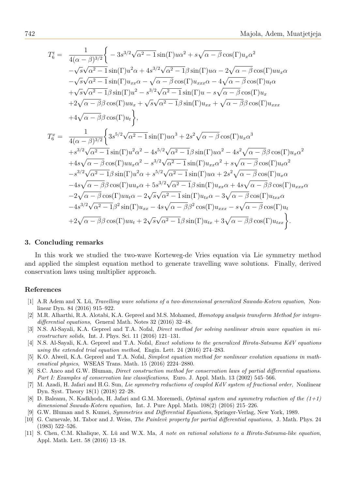$$
T_6^t = \frac{1}{4(\alpha - \beta)^{3/2}} \Biggl\{ -3s^{3/2}\sqrt{\alpha^2 - 1} \sin(\Gamma)u\alpha^2 + s\sqrt{\alpha - \beta} \cos(\Gamma)u_x\alpha^2 -\sqrt{s}\sqrt{\alpha^2 - 1} \sin(\Gamma)u^2\alpha + 4s^{3/2}\sqrt{\alpha^2 - 1}\beta \sin(\Gamma)u\alpha - 2\sqrt{\alpha - \beta} \cos(\Gamma)uu_x\alpha -\sqrt{s}\sqrt{\alpha^2 - 1} \sin(\Gamma)u_{xx}\alpha - \sqrt{\alpha - \beta} \cos(\Gamma)u_{xxx}\alpha - 4\sqrt{\alpha - \beta} \cos(\Gamma)u_t\alpha +\sqrt{s}\sqrt{\alpha^2 - 1}\beta \sin(\Gamma)u^2 - s^{3/2}\sqrt{\alpha^2 - 1} \sin(\Gamma)u - s\sqrt{\alpha - \beta} \cos(\Gamma)u_x +2\sqrt{\alpha - \beta}\beta \cos(\Gamma)uu_x + \sqrt{s}\sqrt{\alpha^2 - 1}\beta \sin(\Gamma)u_{xx} + \sqrt{\alpha - \beta}\beta \cos(\Gamma)u_{xxx} +4\sqrt{\alpha - \beta}\beta \cos(\Gamma)u_t \Biggr\},
$$
  

$$
T_6^x = \frac{1}{4(\alpha - \beta)^{3/2}} \Biggl\{ 3s^{5/2}\sqrt{\alpha^2 - 1} \sin(\Gamma)u\alpha^3 + 2s^2\sqrt{\alpha - \beta} \cos(\Gamma)u_x\alpha^3 +s^{3/2}\sqrt{\alpha^2 - 1} \sin(\Gamma)u^2\alpha^2 - 4s^{5/2}\sqrt{\alpha^2 - 1}\beta \sin(\Gamma)u\alpha^2 - 4s^2\sqrt{\alpha - \beta}\beta \cos(\Gamma)u_x\alpha^2 +4s\sqrt{\alpha - \beta} \cos(\Gamma)uu_x\alpha^2 - s^{3/2}\sqrt{\alpha^2 - 1} \sin(\Gamma)u_{xx}\alpha^2 + s\sqrt{\alpha - \beta} \cos(\Gamma)u_x\alpha^2 -s^{3/2}\sqrt{\alpha^2 - 1}\beta \sin(\Gamma)u^2\alpha + s^{5/2}\sqrt{\alpha^2 - 1} \sin(\Gamma)u_{xx}\alpha + 4s\sqrt{\alpha - \beta}\cos(\Gamma)u_x\alpha -4s\sqrt{\alpha - \beta}\beta \cos(\Gamma)uu_x\alpha + 5s^{3/2}\sqrt{\alpha^2 - 1}\beta \sin(\Gamma)u_{xx}\alpha + 4s\sqrt{\alpha -
$$

#### 3. Concluding remarks

In this work we studied the two-wave Korteweg-de Vries equation via Lie symmetry method and applied the simplest equation method to generate travelling wave solutions. Finally, derived conservation laws using multiplier approach.

#### References

- [1] A.R Adem and X. Lü, *Travelling wave solutions of a two-dimensional generalized Sawada-Kotera equation*, Nonlinear Dyn. 84 (2016) 915–922.
- <span id="page-9-3"></span>[2] M.R. Alharthi, R.A. Alotabi, K.A. Gepreel and M.S. Mohamed, Homotopy analysis transform Method for integrodifferential equations, General Math. Notes 32 (2016) 32–48.
- <span id="page-9-5"></span>[3] N.S. Al-Sayali, K.A. Gepreel and T.A. Nofal, Direct method for solving nonlinear strain wave equation in microstructure solids, Int. J. Phys. Sci. 11 (2016) 121–131.
- <span id="page-9-6"></span>[4] N.S. Al-Sayali, K.A. Gepreel and T.A. Nofal, Exact solutions to the generalized Hirota-Satsuma KdV equations using the extended trial equation method, Engin. Lett. 24 (2016) 274–283.
- <span id="page-9-4"></span>[5] K.O. Alweil, K.A. Gepreel and T.A. Nofal, Simplest equation method for nonlinear evolution equations in mathematical physics, WSEAS Trans. Math. 15 (2016) 2224–2880.
- <span id="page-9-7"></span>[6] S.C. Anco and G.W. Bluman, Direct construction method for conservation laws of partial differential equations. Part I: Examples of conservation law classifications, Euro. J. Appl. Math. 13 (2002) 545–566.
- <span id="page-9-9"></span>[7] M. Azadi, H. Jafari and H.G. Sun, Lie symmetry reductions of coupled KdV system of fractional order, Nonlinear Dyn. Syst. Theory 18(1) (2018) 22–28.
- <span id="page-9-8"></span>[8] D. Baleanu, N. Kadkhoda, H. Jafari and G.M. Moremedi, *Optimal system and symmetry reduction of the*  $(1+1)$ dimensional Sawada-Kotera equation, Int. J. Pure Appl. Math. 108(2) (2016) 215–226.
- <span id="page-9-1"></span>[9] G.W. Bluman and S. Kumei, Symmetries and Differential Equations, Springer-Verlag, New York, 1989.
- <span id="page-9-0"></span>[10] G. Carnevale, M. Tabor and J. Weiss, The Painlevé property for partial differential equations, J. Math. Phys. 24 (1983) 522–526.
- <span id="page-9-2"></span>[11] S. Chen, C.M. Khalique, X. Lü and W.X. Ma, A note on rational solutions to a Hirota-Satsuma-like equation, Appl. Math. Lett. 58 (2016) 13–18.